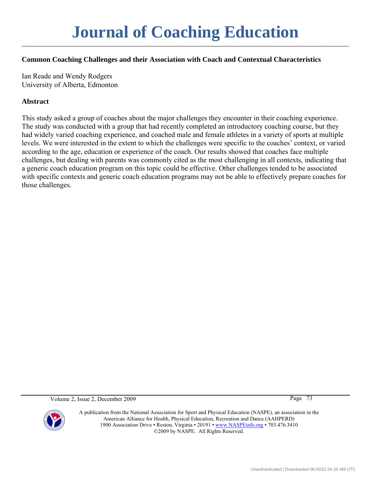#### **Common Coaching Challenges and their Association with Coach and Contextual Characteristics**

Ian Reade and Wendy Rodgers University of Alberta, Edmonton

#### **Abstract**

This study asked a group of coaches about the major challenges they encounter in their coaching experience. The study was conducted with a group that had recently completed an introductory coaching course, but they had widely varied coaching experience, and coached male and female athletes in a variety of sports at multiple levels. We were interested in the extent to which the challenges were specific to the coaches' context, or varied according to the age, education or experience of the coach. Our results showed that coaches face multiple challenges, but dealing with parents was commonly cited as the most challenging in all contexts, indicating that a generic coach education program on this topic could be effective. Other challenges tended to be associated with specific contexts and generic coach education programs may not be able to effectively prepare coaches for those challenges.

Volume 2, Issue 2, December 2009 Page 73

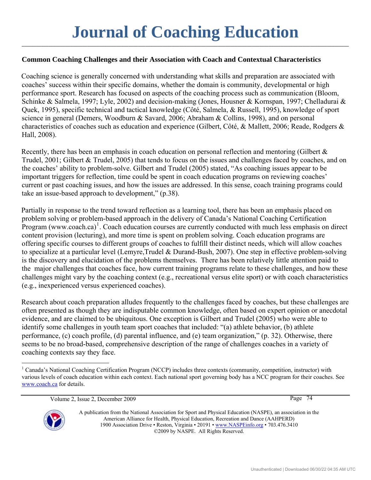#### **Common Coaching Challenges and their Association with Coach and Contextual Characteristics**

Coaching science is generally concerned with understanding what skills and preparation are associated with coaches' success within their specific domains, whether the domain is community, developmental or high performance sport. Research has focused on aspects of the coaching process such as communication (Bloom, Schinke & Salmela, 1997; Lyle, 2002) and decision-making (Jones, Housner & Kornspan, 1997; Chelladurai & Quek, 1995), specific technical and tactical knowledge (Côté, Salmela, & Russell, 1995), knowledge of sport science in general (Demers, Woodburn & Savard, 2006; Abraham & Collins, 1998), and on personal characteristics of coaches such as education and experience (Gilbert, Côté, & Mallett, 2006; Reade, Rodgers & Hall, 2008).

Recently, there has been an emphasis in coach education on personal reflection and mentoring (Gilbert & Trudel, 2001; Gilbert & Trudel, 2005) that tends to focus on the issues and challenges faced by coaches, and on the coaches' ability to problem-solve. Gilbert and Trudel (2005) stated, "As coaching issues appear to be important triggers for reflection, time could be spent in coach education programs on reviewing coaches' current or past coaching issues, and how the issues are addressed. In this sense, coach training programs could take an issue-based approach to development," (p.38).

Partially in response to the trend toward reflection as a learning tool, there has been an emphasis placed on problem solving or problem-based approach in the delivery of Canada's National Coaching Certification Program (www.coach.ca)<sup>[1](#page-1-0)</sup>. Coach education courses are currently conducted with much less emphasis on direct content provision (lecturing), and more time is spent on problem solving. Coach education programs are offering specific courses to different groups of coaches to fulfill their distinct needs, which will allow coaches to specialize at a particular level (Lemyre,Trudel & Durand-Bush, 2007). One step in effective problem-solving is the discovery and elucidation of the problems themselves. There has been relatively little attention paid to the major challenges that coaches face, how current training programs relate to these challenges, and how these challenges might vary by the coaching context (e.g., recreational versus elite sport) or with coach characteristics (e.g., inexperienced versus experienced coaches).

Research about coach preparation alludes frequently to the challenges faced by coaches, but these challenges are often presented as though they are indisputable common knowledge, often based on expert opinion or anecdotal evidence, and are claimed to be ubiquitous. One exception is Gilbert and Trudel (2005) who were able to identify some challenges in youth team sport coaches that included: "(a) athlete behavior, (b) athlete performance, (c) coach profile, (d) parental influence, and (e) team organization," (p. 32). Otherwise, there seems to be no broad-based, comprehensive description of the range of challenges coaches in a variety of coaching contexts say they face.

Volume 2, Issue 2, December 2009 **Page 74** Page 74



<span id="page-1-0"></span><sup>&</sup>lt;sup>1</sup> Canada's National Coaching Certification Program (NCCP) includes three contexts (community, competition, instructor) with various levels of coach education within each context. Each national sport governing body has a NCC program for their coaches. See [www.coach.ca](http://www.coach.ca/) for details.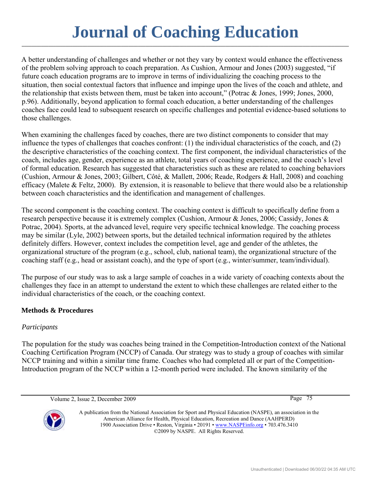### **Journal of Coaching Education \_\_\_\_\_\_\_\_\_\_\_\_\_\_\_\_\_\_\_\_\_\_\_\_\_\_\_\_\_\_\_\_\_\_\_\_\_\_\_\_\_\_\_\_\_\_\_\_\_\_\_\_\_\_\_\_\_\_\_\_\_\_\_\_\_\_\_\_\_\_\_\_\_\_\_\_\_\_\_\_\_\_\_\_\_\_\_\_\_\_\_\_\_\_\_\_\_\_\_\_\_\_\_\_\_\_\_\_\_\_\_\_\_\_\_\_\_\_\_\_\_\_\_\_\_\_\_\_\_\_\_\_\_\_\_**

A better understanding of challenges and whether or not they vary by context would enhance the effectiveness of the problem solving approach to coach preparation. As Cushion, Armour and Jones (2003) suggested, "if future coach education programs are to improve in terms of individualizing the coaching process to the situation, then social contextual factors that influence and impinge upon the lives of the coach and athlete, and the relationship that exists between them, must be taken into account," (Potrac & Jones, 1999; Jones, 2000, p.96). Additionally, beyond application to formal coach education, a better understanding of the challenges coaches face could lead to subsequent research on specific challenges and potential evidence-based solutions to those challenges.

When examining the challenges faced by coaches, there are two distinct components to consider that may influence the types of challenges that coaches confront: (1) the individual characteristics of the coach, and (2) the descriptive characteristics of the coaching context. The first component, the individual characteristics of the coach, includes age, gender, experience as an athlete, total years of coaching experience, and the coach's level of formal education. Research has suggested that characteristics such as these are related to coaching behaviors (Cushion, Armour & Jones, 2003; Gilbert, Côté, & Mallett, 2006; Reade, Rodgers & Hall, 2008) and coaching efficacy (Malete & Feltz, 2000). By extension, it is reasonable to believe that there would also be a relationship between coach characteristics and the identification and management of challenges.

The second component is the coaching context. The coaching context is difficult to specifically define from a research perspective because it is extremely complex (Cushion, Armour & Jones, 2006; Cassidy, Jones & Potrac, 2004). Sports, at the advanced level, require very specific technical knowledge. The coaching process may be similar (Lyle, 2002) between sports, but the detailed technical information required by the athletes definitely differs. However, context includes the competition level, age and gender of the athletes, the organizational structure of the program (e.g., school, club, national team), the organizational structure of the coaching staff (e.g., head or assistant coach), and the type of sport (e.g., winter/summer, team/individual).

The purpose of our study was to ask a large sample of coaches in a wide variety of coaching contexts about the challenges they face in an attempt to understand the extent to which these challenges are related either to the individual characteristics of the coach, or the coaching context.

#### **Methods & Procedures**

#### *Participants*

The population for the study was coaches being trained in the Competition-Introduction context of the National Coaching Certification Program (NCCP) of Canada. Our strategy was to study a group of coaches with similar NCCP training and within a similar time frame. Coaches who had completed all or part of the Competition-Introduction program of the NCCP within a 12-month period were included. The known similarity of the

Volume 2, Issue 2, December 2009 Page 75

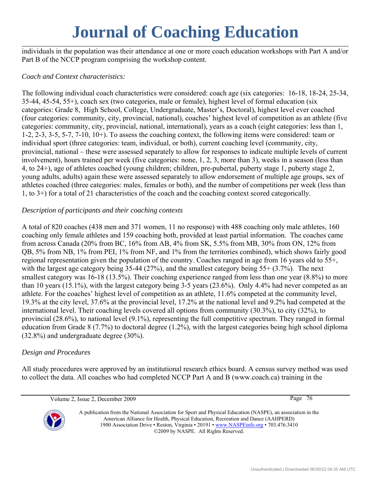**\_\_\_\_\_\_\_\_\_\_\_\_\_\_\_\_\_\_\_\_\_\_\_\_\_\_\_\_\_\_\_\_\_\_\_\_\_\_\_\_\_\_\_\_\_\_\_\_\_\_\_\_\_\_\_\_\_\_\_\_\_\_\_\_\_\_\_\_\_\_\_\_\_\_\_\_\_\_\_\_\_\_\_\_\_\_\_\_\_\_\_\_\_\_\_\_\_\_\_\_\_\_\_\_\_\_\_\_\_\_\_\_\_\_\_\_\_\_\_\_\_\_\_\_\_\_\_\_\_\_\_\_\_\_\_** individuals in the population was their attendance at one or more coach education workshops with Part A and/or Part B of the NCCP program comprising the workshop content.

#### *Coach and Context characteristics:*

The following individual coach characteristics were considered: coach age (six categories: 16-18, 18-24, 25-34, 35-44, 45-54, 55+), coach sex (two categories, male or female), highest level of formal education (six categories: Grade 8, High School, College, Undergraduate, Master's, Doctoral), highest level ever coached (four categories: community, city, provincial, national), coaches' highest level of competition as an athlete (five categories: community, city, provincial, national, international), years as a coach (eight categories: less than 1, 1-2, 2-3, 3-5, 5-7, 7-10, 10+). To assess the coaching context, the following items were considered: team or individual sport (three categories: team, individual, or both), current coaching level (community, city, provincial, national – these were assessed separately to allow for responses to indicate multiple levels of current involvement), hours trained per week (five categories: none, 1, 2, 3, more than 3), weeks in a season (less than 4, to 24+), age of athletes coached (young children; children, pre-pubertal, puberty stage 1, puberty stage 2, young adults, adults) again these were assessed separately to allow endorsement of multiple age groups, sex of athletes coached (three categories: males, females or both), and the number of competitions per week (less than 1, to 3+) for a total of 21 characteristics of the coach and the coaching context scored categorically.

#### *Description of participants and their coaching contexts*

A total of 820 coaches (438 men and 371 women, 11 no response) with 488 coaching only male athletes, 160 coaching only female athletes and 159 coaching both, provided at least partial information. The coaches came from across Canada (20% from BC, 16% from AB, 4% from SK, 5.5% from MB, 30% from ON, 12% from QB, 5% from NB, 1% from PEI, 1% from NF, and 1% from the territories combined), which shows fairly good regional representation given the population of the country. Coaches ranged in age from 16 years old to 55+, with the largest age category being 35-44 (27%), and the smallest category being 55+ (3.7%). The next smallest category was 16-18 (13.5%). Their coaching experience ranged from less than one year (8.8%) to more than 10 years (15.1%), with the largest category being 3-5 years (23.6%). Only 4.4% had never competed as an athlete. For the coaches' highest level of competition as an athlete, 11.6% competed at the community level, 19.3% at the city level, 37.6% at the provincial level, 17.2% at the national level and 9.2% had competed at the international level. Their coaching levels covered all options from community (30.3%), to city (32%), to provincial (28.6%), to national level (9.1%), representing the full competitive spectrum. They ranged in formal education from Grade 8 (7.7%) to doctoral degree (1.2%), with the largest categories being high school diploma (32.8%) and undergraduate degree (30%).

#### *Design and Procedures*

All study procedures were approved by an institutional research ethics board. A census survey method was used to collect the data. All coaches who had completed NCCP Part A and B (www.coach.ca) training in the

Volume 2, Issue 2, December 2009 Page 76

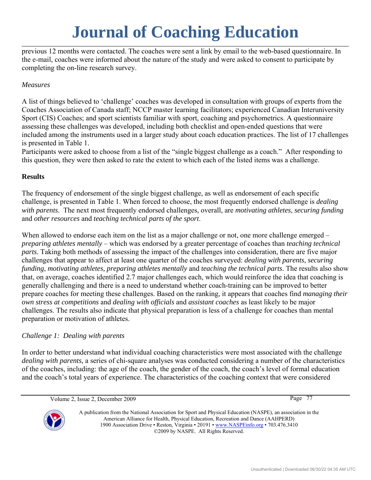**\_\_\_\_\_\_\_\_\_\_\_\_\_\_\_\_\_\_\_\_\_\_\_\_\_\_\_\_\_\_\_\_\_\_\_\_\_\_\_\_\_\_\_\_\_\_\_\_\_\_\_\_\_\_\_\_\_\_\_\_\_\_\_\_\_\_\_\_\_\_\_\_\_\_\_\_\_\_\_\_\_\_\_\_\_\_\_\_\_\_\_\_\_\_\_\_\_\_\_\_\_\_\_\_\_\_\_\_\_\_\_\_\_\_\_\_\_\_\_\_\_\_\_\_\_\_\_\_\_\_\_\_\_\_\_**

previous 12 months were contacted. The coaches were sent a link by email to the web-based questionnaire. In the e-mail, coaches were informed about the nature of the study and were asked to consent to participate by completing the on-line research survey.

#### *Measures*

A list of things believed to 'challenge' coaches was developed in consultation with groups of experts from the Coaches Association of Canada staff; NCCP master learning facilitators; experienced Canadian Interuniversity Sport (CIS) Coaches; and sport scientists familiar with sport, coaching and psychometrics. A questionnaire assessing these challenges was developed, including both checklist and open-ended questions that were included among the instruments used in a larger study about coach education practices. The list of 17 challenges is presented in Table 1.

Participants were asked to choose from a list of the "single biggest challenge as a coach." After responding to this question, they were then asked to rate the extent to which each of the listed items was a challenge.

#### **Results**

The frequency of endorsement of the single biggest challenge, as well as endorsement of each specific challenge, is presented in Table 1. When forced to choose, the most frequently endorsed challenge is *dealing with parents*. The next most frequently endorsed challenges, overall, are *motivating athletes*, *securing funding* and *other resources* and *teaching technical parts of the sport*.

When allowed to endorse each item on the list as a major challenge or not, one more challenge emerged – *preparing athletes mentally* – which was endorsed by a greater percentage of coaches than *teaching technical parts*. Taking both methods of assessing the impact of the challenges into consideration, there are five major challenges that appear to affect at least one quarter of the coaches surveyed: *dealing with parents*, *securing funding*, *motivating athletes, preparing athletes mentally* and *teaching the technical parts*. The results also show that, on average, coaches identified 2.7 major challenges each, which would reinforce the idea that coaching is generally challenging and there is a need to understand whether coach-training can be improved to better prepare coaches for meeting these challenges. Based on the ranking, it appears that coaches find *managing their own stress at competitions* and *dealing with officials* and *assistant coaches* as least likely to be major challenges. The results also indicate that physical preparation is less of a challenge for coaches than mental preparation or motivation of athletes.

#### *Challenge 1: Dealing with parents*

In order to better understand what individual coaching characteristics were most associated with the challenge *dealing with parents,* a series of chi-square analyses was conducted considering a number of the characteristics of the coaches, including: the age of the coach, the gender of the coach, the coach's level of formal education and the coach's total years of experience. The characteristics of the coaching context that were considered

Volume 2, Issue 2, December 2009 **Page 77** 

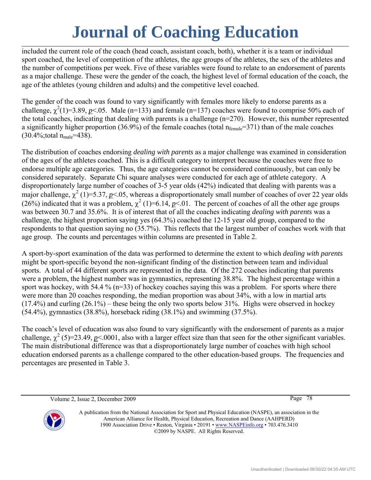**\_\_\_\_\_\_\_\_\_\_\_\_\_\_\_\_\_\_\_\_\_\_\_\_\_\_\_\_\_\_\_\_\_\_\_\_\_\_\_\_\_\_\_\_\_\_\_\_\_\_\_\_\_\_\_\_\_\_\_\_\_\_\_\_\_\_\_\_\_\_\_\_\_\_\_\_\_\_\_\_\_\_\_\_\_\_\_\_\_\_\_\_\_\_\_\_\_\_\_\_\_\_\_\_\_\_\_\_\_\_\_\_\_\_\_\_\_\_\_\_\_\_\_\_\_\_\_\_\_\_\_\_\_\_\_**

included the current role of the coach (head coach, assistant coach, both), whether it is a team or individual sport coached, the level of competition of the athletes, the age groups of the athletes, the sex of the athletes and the number of competitions per week. Five of these variables were found to relate to an endorsement of parents as a major challenge. These were the gender of the coach, the highest level of formal education of the coach, the age of the athletes (young children and adults) and the competitive level coached.

The gender of the coach was found to vary significantly with females more likely to endorse parents as a challenge,  $\chi^2(1)=3.89$ , *p*<.05. Male (n=133) and female (n=137) coaches were found to comprise 50% each of the total coaches, indicating that dealing with parents is a challenge (n=270). However, this number represented a significantly higher proportion (36.9%) of the female coaches (total  $n_{female}=371$ ) than of the male coaches  $(30.4\%; total \space n_{male} = 438).$ 

The distribution of coaches endorsing *dealing with parents* as a major challenge was examined in consideration of the ages of the athletes coached. This is a difficult category to interpret because the coaches were free to endorse multiple age categories. Thus, the age categories cannot be considered continuously, but can only be considered separately. Separate Chi square analyses were conducted for each age of athlete category. A disproportionately large number of coaches of 3-5 year olds (42%) indicated that dealing with parents was a major challenge,  $\chi^2$  (1)=5.37, *p*<.05, whereas a disproportionately small number of coaches of over 22 year olds (26%) indicated that it was a problem,  $\chi^2$  (1)=6.14, *p*<.01. The percent of coaches of all the other age groups was between 30.7 and 35.6%. It is of interest that of all the coaches indicating *dealing with parents* was a challenge, the highest proportion saying yes (64.3%) coached the 12-15 year old group, compared to the respondents to that question saying no (35.7%). This reflects that the largest number of coaches work with that age group. The counts and percentages within columns are presented in Table 2.

A sport-by-sport examination of the data was performed to determine the extent to which *dealing with parents* might be sport-specific beyond the non-significant finding of the distinction between team and individual sports. A total of 44 different sports are represented in the data. Of the 272 coaches indicating that parents were a problem, the highest number was in gymnastics, representing 38.8%. The highest percentage within a sport was hockey, with 54.4 % (n=33) of hockey coaches saying this was a problem. For sports where there were more than 20 coaches responding, the median proportion was about 34%, with a low in martial arts (17.4%) and curling (26.1%) – these being the only two sports below 31%. Highs were observed in hockey (54.4%), gymnastics (38.8%), horseback riding (38.1%) and swimming (37.5%).

The coach's level of education was also found to vary significantly with the endorsement of parents as a major challenge,  $\chi^2$  (5)=23.49, *p*<.0001, also with a larger effect size than that seen for the other significant variables. The main distributional difference was that a disproportionately large number of coaches with high school education endorsed parents as a challenge compared to the other education-based groups. The frequencies and percentages are presented in Table 3.

Volume 2, Issue 2, December 2009 Page 78

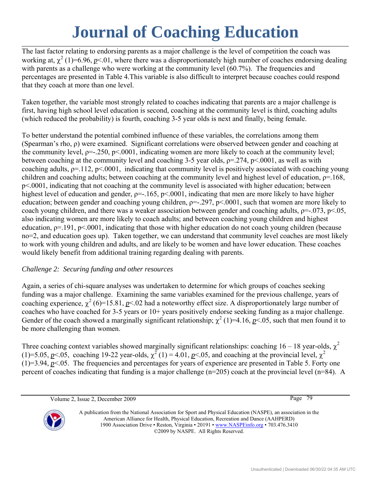### **Journal of Coaching Education \_\_\_\_\_\_\_\_\_\_\_\_\_\_\_\_\_\_\_\_\_\_\_\_\_\_\_\_\_\_\_\_\_\_\_\_\_\_\_\_\_\_\_\_\_\_\_\_\_\_\_\_\_\_\_\_\_\_\_\_\_\_\_\_\_\_\_\_\_\_\_\_\_\_\_\_\_\_\_\_\_\_\_\_\_\_\_\_\_\_\_\_\_\_\_\_\_\_\_\_\_\_\_\_\_\_\_\_\_\_\_\_\_\_\_\_\_\_\_\_\_\_\_\_\_\_\_\_\_\_\_\_\_\_\_**

The last factor relating to endorsing parents as a major challenge is the level of competition the coach was working at,  $\chi^2$  (1)=6.96, *p*<.01, where there was a disproportionately high number of coaches endorsing dealing with parents as a challenge who were working at the community level (60.7%). The frequencies and percentages are presented in Table 4.This variable is also difficult to interpret because coaches could respond that they coach at more than one level.

Taken together, the variable most strongly related to coaches indicating that parents are a major challenge is first, having high school level education is second, coaching at the community level is third, coaching adults (which reduced the probability) is fourth, coaching 3-5 year olds is next and finally, being female.

To better understand the potential combined influence of these variables, the correlations among them (Spearman's rho, ρ) were examined. Significant correlations were observed between gender and coaching at the community level,  $p=-.250$ ,  $p<.0001$ , indicating women are more likely to coach at the community level; between coaching at the community level and coaching 3-5 year olds,  $p=0.274$ ,  $p<0.001$ , as well as with coaching adults,  $p=112$ ,  $p<.0001$ , indicating that community level is positively associated with coaching young children and coaching adults; between coaching at the community level and highest level of education, ρ=.168, p<.0001, indicating that not coaching at the community level is associated with higher education; between highest level of education and gender, ρ=-.165, p<.0001, indicating that men are more likely to have higher education; between gender and coaching young children, ρ=-.297, p<.0001, such that women are more likely to coach young children, and there was a weaker association between gender and coaching adults,  $p=-.073$ ,  $p<.05$ , also indicating women are more likely to coach adults; and between coaching young children and highest education,  $p=191$ ,  $p<.0001$ , indicating that those with higher education do not coach young children (because no=2, and education goes up). Taken together, we can understand that community level coaches are most likely to work with young children and adults, and are likely to be women and have lower education. These coaches would likely benefit from additional training regarding dealing with parents.

#### *Challenge 2: Securing funding and other resources*

Again, a series of chi-square analyses was undertaken to determine for which groups of coaches seeking funding was a major challenge. Examining the same variables examined for the previous challenge, years of coaching experience,  $\chi^2$  (6)=15.81, *p*<.02 had a noteworthy effect size. A disproportionately large number of coaches who have coached for 3-5 years or 10+ years positively endorse seeking funding as a major challenge. Gender of the coach showed a marginally significant relationship;  $\chi^2$  (1)=4.16, *p*<.05, such that men found it to be more challenging than women.

Three coaching context variables showed marginally significant relationships: coaching  $16 - 18$  year-olds,  $\chi^2$ (1)=5.05, *p*<.05, coaching 19-22 year-olds,  $\chi^2$  (1) = 4.01, *p*<.05, and coaching at the provincial level,  $\chi^2$ (1)=3.94, *p*<.05. The frequencies and percentages for years of experience are presented in Table 5. Forty one percent of coaches indicating that funding is a major challenge (n=205) coach at the provincial level (n=84). A

Volume 2, Issue 2, December 2009 Page 79

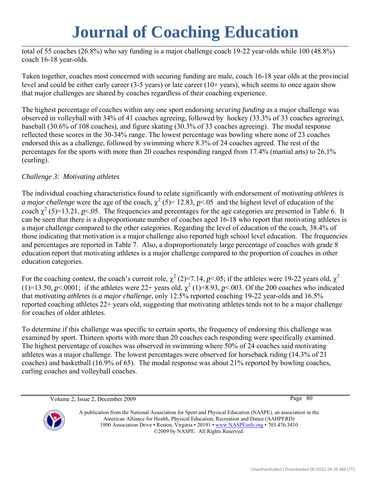**\_\_\_\_\_\_\_\_\_\_\_\_\_\_\_\_\_\_\_\_\_\_\_\_\_\_\_\_\_\_\_\_\_\_\_\_\_\_\_\_\_\_\_\_\_\_\_\_\_\_\_\_\_\_\_\_\_\_\_\_\_\_\_\_\_\_\_\_\_\_\_\_\_\_\_\_\_\_\_\_\_\_\_\_\_\_\_\_\_\_\_\_\_\_\_\_\_\_\_\_\_\_\_\_\_\_\_\_\_\_\_\_\_\_\_\_\_\_\_\_\_\_\_\_\_\_\_\_\_\_\_\_\_\_\_**

total of 55 coaches (26.8%) who say funding is a major challenge coach 19-22 year-olds while 100 (48.8%) coach 16-18 year-olds.

Taken together, coaches most concerned with securing funding are male, coach 16-18 year olds at the provincial level and could be either early career (3-5 years) or late career (10+ years), which seems to once again show that major challenges are shared by coaches regardless of their coaching experience.

The highest percentage of coaches within any one sport endorsing *securing funding* as a major challenge was observed in volleyball with 34% of 41 coaches agreeing, followed by hockey (33.3% of 33 coaches agreeing), baseball (30.6% of 108 coaches), and figure skating (30.3% of 33 coaches agreeing). The modal response reflected these scores in the 30-34% range. The lowest percentage was bowling where none of 23 coaches endorsed this as a challenge, followed by swimming where 8.3% of 24 coaches agreed. The rest of the percentages for the sports with more than 20 coaches responding ranged from 17.4% (martial arts) to 26.1% (curling).

#### *Challenge 3: Motivating athletes*

The individual coaching characteristics found to relate significantly with endorsement of *motivating athletes is a major challenge* were the age of the coach,  $\chi^2$  (5)= 12.83, *p*<.05 and the highest level of education of the coach  $\chi^2$  (5)=13.21, *p*<.05. The frequencies and percentages for the age categories are presented in Table 6. It can be seen that there is a disproportionate number of coaches aged 16-18 who report that motivating athletes is a major challenge compared to the other categories. Regarding the level of education of the coach, 38.4% of those indicating that motivation is a major challenge also reported high school level education. The frequencies and percentages are reported in Table 7. Also, a disproportionately large percentage of coaches with grade 8 education report that motivating athletes is a major challenge compared to the proportion of coaches in other education categories.

For the coaching context, the coach's current role,  $\chi^2$  (2)=7.14, *p*<.05; if the athletes were 19-22 years old,  $\chi^2$ (1)=13.50, *p*<.0001; if the athletes were 22+ years old,  $\chi^2$  (1)=8.93, *p*<.003. Of the 200 coaches who indicated that *motivating athletes is a major challenge*, only 12.5% reported coaching 19-22 year-olds and 16.5% reported coaching athletes 22+ years old, suggesting that motivating athletes tends not to be a major challenge for coaches of older athletes.

To determine if this challenge was specific to certain sports, the frequency of endorsing this challenge was examined by sport. Thirteen sports with more than 20 coaches each responding were specifically examined. The highest percentage of coaches was observed in swimming where 50% of 24 coaches said motivating athletes was a major challenge. The lowest percentages were observed for horseback riding (14.3% of 21 coaches) and basketball (16.9% of 65). The modal response was about 21% reported by bowling coaches, curling coaches and volleyball coaches.

Volume 2, Issue 2, December 2009 **Page 80** 

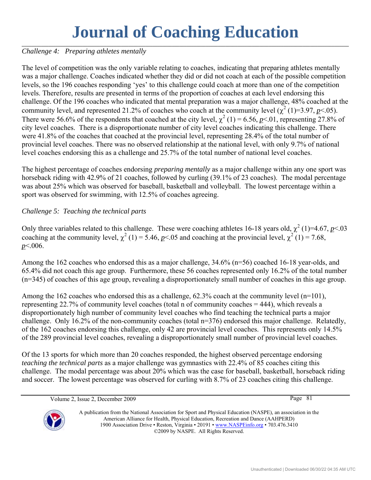**\_\_\_\_\_\_\_\_\_\_\_\_\_\_\_\_\_\_\_\_\_\_\_\_\_\_\_\_\_\_\_\_\_\_\_\_\_\_\_\_\_\_\_\_\_\_\_\_\_\_\_\_\_\_\_\_\_\_\_\_\_\_\_\_\_\_\_\_\_\_\_\_\_\_\_\_\_\_\_\_\_\_\_\_\_\_\_\_\_\_\_\_\_\_\_\_\_\_\_\_\_\_\_\_\_\_\_\_\_\_\_\_\_\_\_\_\_\_\_\_\_\_\_\_\_\_\_\_\_\_\_\_\_\_\_**

*Challenge 4: Preparing athletes mentally* 

The level of competition was the only variable relating to coaches, indicating that preparing athletes mentally was a major challenge. Coaches indicated whether they did or did not coach at each of the possible competition levels, so the 196 coaches responding 'yes' to this challenge could coach at more than one of the competition levels. Therefore, results are presented in terms of the proportion of coaches at each level endorsing this challenge. Of the 196 coaches who indicated that mental preparation was a major challenge, 48% coached at the community level, and represented 21.2% of coaches who coach at the community level  $(\chi^2 (1)=3.97, p<.05)$ . There were 56.6% of the respondents that coached at the city level,  $\chi^2$  (1) = 6.56, p < 01, representing 27.8% of city level coaches. There is a disproportionate number of city level coaches indicating this challenge. There were 41.8% of the coaches that coached at the provincial level, representing 28.4% of the total number of provincial level coaches. There was no observed relationship at the national level, with only 9.7% of national level coaches endorsing this as a challenge and 25.7% of the total number of national level coaches.

The highest percentage of coaches endorsing *preparing mentally* as a major challenge within any one sport was horseback riding with 42.9% of 21 coaches, followed by curling (39.1% of 23 coaches). The modal percentage was about 25% which was observed for baseball, basketball and volleyball. The lowest percentage within a sport was observed for swimming, with 12.5% of coaches agreeing.

### *Challenge 5: Teaching the technical parts*

Only three variables related to this challenge. These were coaching athletes 16-18 years old,  $\chi^2$  (1)=4.67, *p*<.03 coaching at the community level,  $\chi^2$  (1) = 5.46, *p*<.05 and coaching at the provincial level,  $\chi^2$  (1) = 7.68, *p*<.006.

Among the 162 coaches who endorsed this as a major challenge, 34.6% (n=56) coached 16-18 year-olds, and 65.4% did not coach this age group. Furthermore, these 56 coaches represented only 16.2% of the total number (n=345) of coaches of this age group, revealing a disproportionately small number of coaches in this age group.

Among the 162 coaches who endorsed this as a challenge,  $62.3\%$  coach at the community level (n=101), representing 22.7% of community level coaches (total n of community coaches = 444), which reveals a disproportionately high number of community level coaches who find teaching the technical parts a major challenge. Only 16.2% of the non-community coaches (total n=376) endorsed this major challenge. Relatedly, of the 162 coaches endorsing this challenge, only 42 are provincial level coaches. This represents only 14.5% of the 289 provincial level coaches, revealing a disproportionately small number of provincial level coaches.

Of the 13 sports for which more than 20 coaches responded, the highest observed percentage endorsing *teaching the technical parts* as a major challenge was gymnastics with 22.4% of 85 coaches citing this challenge. The modal percentage was about 20% which was the case for baseball, basketball, horseback riding and soccer. The lowest percentage was observed for curling with 8.7% of 23 coaches citing this challenge.

Volume 2, Issue 2, December 2009 Page 81

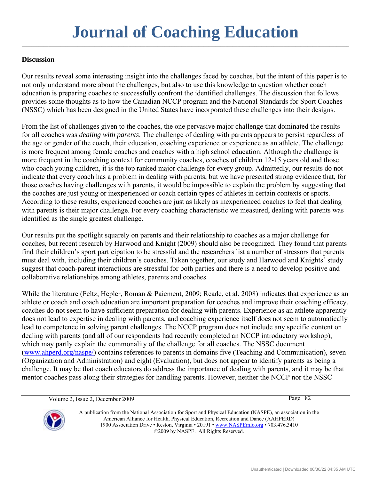#### **Discussion**

Our results reveal some interesting insight into the challenges faced by coaches, but the intent of this paper is to not only understand more about the challenges, but also to use this knowledge to question whether coach education is preparing coaches to successfully confront the identified challenges. The discussion that follows provides some thoughts as to how the Canadian NCCP program and the National Standards for Sport Coaches (NSSC) which has been designed in the United States have incorporated these challenges into their designs.

From the list of challenges given to the coaches, the one pervasive major challenge that dominated the results for all coaches was *dealing with parents*. The challenge of dealing with parents appears to persist regardless of the age or gender of the coach, their education, coaching experience or experience as an athlete. The challenge is more frequent among female coaches and coaches with a high school education. Although the challenge is more frequent in the coaching context for community coaches, coaches of children 12-15 years old and those who coach young children, it is the top ranked major challenge for every group. Admittedly, our results do not indicate that every coach has a problem in dealing with parents, but we have presented strong evidence that, for those coaches having challenges with parents, it would be impossible to explain the problem by suggesting that the coaches are just young or inexperienced or coach certain types of athletes in certain contexts or sports. According to these results, experienced coaches are just as likely as inexperienced coaches to feel that dealing with parents is their major challenge. For every coaching characteristic we measured, dealing with parents was identified as the single greatest challenge.

Our results put the spotlight squarely on parents and their relationship to coaches as a major challenge for coaches, but recent research by Harwood and Knight (2009) should also be recognized. They found that parents find their children's sport participation to be stressful and the researchers list a number of stressors that parents must deal with, including their children's coaches. Taken together, our study and Harwood and Knights' study suggest that coach-parent interactions are stressful for both parties and there is a need to develop positive and collaborative relationships among athletes, parents and coaches.

While the literature (Feltz, Hepler, Roman & Paiement, 2009; Reade, et al. 2008) indicates that experience as an athlete or coach and coach education are important preparation for coaches and improve their coaching efficacy, coaches do not seem to have sufficient preparation for dealing with parents. Experience as an athlete apparently does not lead to expertise in dealing with parents, and coaching experience itself does not seem to automatically lead to competence in solving parent challenges. The NCCP program does not include any specific content on dealing with parents (and all of our respondents had recently completed an NCCP introductory workshop), which may partly explain the commonality of the challenge for all coaches. The NSSC document ([www.ahperd.org/naspe/\)](http://www.ahperd.org/naspe/) contains references to parents in domains five (Teaching and Communication), seven (Organization and Administration) and eight (Evaluation), but does not appear to identify parents as being a challenge. It may be that coach educators do address the importance of dealing with parents, and it may be that mentor coaches pass along their strategies for handling parents. However, neither the NCCP nor the NSSC

Volume 2, Issue 2, December 2009 **Page 82** 

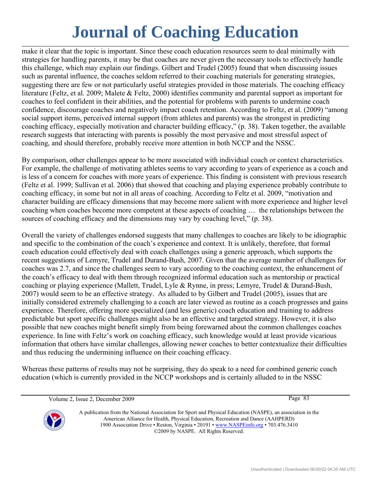### **Journal of Coaching Education \_\_\_\_\_\_\_\_\_\_\_\_\_\_\_\_\_\_\_\_\_\_\_\_\_\_\_\_\_\_\_\_\_\_\_\_\_\_\_\_\_\_\_\_\_\_\_\_\_\_\_\_\_\_\_\_\_\_\_\_\_\_\_\_\_\_\_\_\_\_\_\_\_\_\_\_\_\_\_\_\_\_\_\_\_\_\_\_\_\_\_\_\_\_\_\_\_\_\_\_\_\_\_\_\_\_\_\_\_\_\_\_\_\_\_\_\_\_\_\_\_\_\_\_\_\_\_\_\_\_\_\_\_\_\_**

make it clear that the topic is important. Since these coach education resources seem to deal minimally with strategies for handling parents, it may be that coaches are never given the necessary tools to effectively handle this challenge, which may explain our findings. Gilbert and Trudel (2005) found that when discussing issues such as parental influence, the coaches seldom referred to their coaching materials for generating strategies, suggesting there are few or not particularly useful strategies provided in those materials. The coaching efficacy literature (Feltz, et al. 2009; Malete & Feltz, 2000) identifies community and parental support as important for coaches to feel confident in their abilities, and the potential for problems with parents to undermine coach confidence, discourage coaches and negatively impact coach retention. According to Feltz, et al. (2009) "among social support items, perceived internal support (from athletes and parents) was the strongest in predicting coaching efficacy, especially motivation and character building efficacy," (p. 38). Taken together, the available research suggests that interacting with parents is possibly the most pervasive and most stressful aspect of coaching, and should therefore, probably receive more attention in both NCCP and the NSSC.

By comparison, other challenges appear to be more associated with individual coach or context characteristics. For example, the challenge of motivating athletes seems to vary according to years of experience as a coach and is less of a concern for coaches with more years of experience. This finding is consistent with previous research (Feltz et al. 1999; Sullivan et al. 2006) that showed that coaching and playing experience probably contribute to coaching efficacy, in some but not in all areas of coaching. According to Feltz et al. 2009, "motivation and character building are efficacy dimensions that may become more salient with more experience and higher level coaching when coaches become more competent at these aspects of coaching … the relationships between the sources of coaching efficacy and the dimensions may vary by coaching level," (p. 38).

Overall the variety of challenges endorsed suggests that many challenges to coaches are likely to be idiographic and specific to the combination of the coach's experience and context. It is unlikely, therefore, that formal coach education could effectively deal with coach challenges using a generic approach, which supports the recent suggestions of Lemyre, Trudel and Durand-Bush, 2007. Given that the average number of challenges for coaches was 2.7, and since the challenges seem to vary according to the coaching context, the enhancement of the coach's efficacy to deal with them through recognized informal education such as mentorship or practical coaching or playing experience (Mallett, Trudel, Lyle & Rynne, in press; Lemyre, Trudel & Durand-Bush, 2007) would seem to be an effective strategy. As alluded to by Gilbert and Trudel (2005), issues that are initially considered extremely challenging to a coach are later viewed as routine as a coach progresses and gains experience. Therefore, offering more specialized (and less generic) coach education and training to address predictable but sport specific challenges might also be an effective and targeted strategy. However, it is also possible that new coaches might benefit simply from being forewarned about the common challenges coaches experience. In line with Feltz's work on coaching efficacy, such knowledge would at least provide vicarious information that others have similar challenges, allowing newer coaches to better contextualize their difficulties and thus reducing the undermining influence on their coaching efficacy.

Whereas these patterns of results may not be surprising, they do speak to a need for combined generic coach education (which is currently provided in the NCCP workshops and is certainly alluded to in the NSSC

Volume 2, Issue 2, December 2009 Page 83

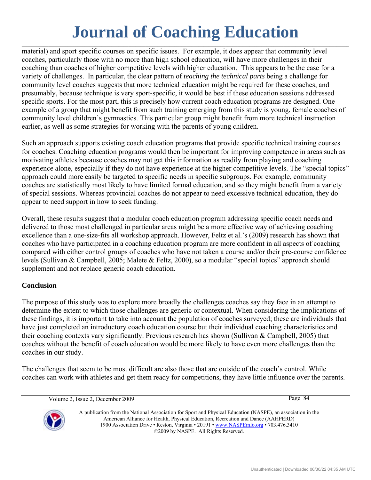### **Journal of Coaching Education \_\_\_\_\_\_\_\_\_\_\_\_\_\_\_\_\_\_\_\_\_\_\_\_\_\_\_\_\_\_\_\_\_\_\_\_\_\_\_\_\_\_\_\_\_\_\_\_\_\_\_\_\_\_\_\_\_\_\_\_\_\_\_\_\_\_\_\_\_\_\_\_\_\_\_\_\_\_\_\_\_\_\_\_\_\_\_\_\_\_\_\_\_\_\_\_\_\_\_\_\_\_\_\_\_\_\_\_\_\_\_\_\_\_\_\_\_\_\_\_\_\_\_\_\_\_\_\_\_\_\_\_\_\_\_**

material) and sport specific courses on specific issues. For example, it does appear that community level coaches, particularly those with no more than high school education, will have more challenges in their coaching than coaches of higher competitive levels with higher education. This appears to be the case for a variety of challenges. In particular, the clear pattern of *teaching the technical parts* being a challenge for community level coaches suggests that more technical education might be required for these coaches, and presumably, because technique is very sport-specific, it would be best if these education sessions addressed specific sports. For the most part, this is precisely how current coach education programs are designed. One example of a group that might benefit from such training emerging from this study is young, female coaches of community level children's gymnastics. This particular group might benefit from more technical instruction earlier, as well as some strategies for working with the parents of young children.

Such an approach supports existing coach education programs that provide specific technical training courses for coaches. Coaching education programs would then be important for improving competence in areas such as motivating athletes because coaches may not get this information as readily from playing and coaching experience alone, especially if they do not have experience at the higher competitive levels. The "special topics" approach could more easily be targeted to specific needs in specific subgroups. For example, community coaches are statistically most likely to have limited formal education, and so they might benefit from a variety of special sessions. Whereas provincial coaches do not appear to need excessive technical education, they do appear to need support in how to seek funding.

Overall, these results suggest that a modular coach education program addressing specific coach needs and delivered to those most challenged in particular areas might be a more effective way of achieving coaching excellence than a one-size-fits all workshop approach. However, Feltz et al.'s (2009) research has shown that coaches who have participated in a coaching education program are more confident in all aspects of coaching compared with either control groups of coaches who have not taken a course and/or their pre-course confidence levels (Sullivan & Campbell, 2005; Malete & Feltz, 2000), so a modular "special topics" approach should supplement and not replace generic coach education.

#### **Conclusion**

The purpose of this study was to explore more broadly the challenges coaches say they face in an attempt to determine the extent to which those challenges are generic or contextual. When considering the implications of these findings, it is important to take into account the population of coaches surveyed; these are individuals that have just completed an introductory coach education course but their individual coaching characteristics and their coaching contexts vary significantly. Previous research has shown (Sullivan & Campbell, 2005) that coaches without the benefit of coach education would be more likely to have even more challenges than the coaches in our study.

The challenges that seem to be most difficult are also those that are outside of the coach's control. While coaches can work with athletes and get them ready for competitions, they have little influence over the parents.

Volume 2, Issue 2, December 2009 **Page 84** 

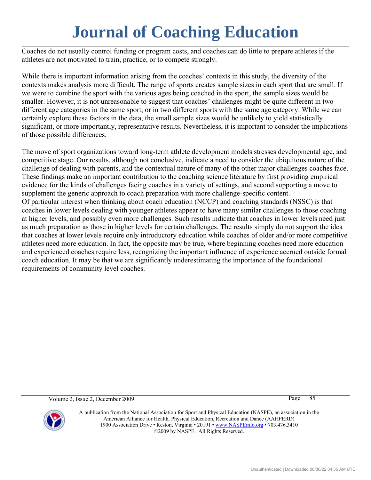**\_\_\_\_\_\_\_\_\_\_\_\_\_\_\_\_\_\_\_\_\_\_\_\_\_\_\_\_\_\_\_\_\_\_\_\_\_\_\_\_\_\_\_\_\_\_\_\_\_\_\_\_\_\_\_\_\_\_\_\_\_\_\_\_\_\_\_\_\_\_\_\_\_\_\_\_\_\_\_\_\_\_\_\_\_\_\_\_\_\_\_\_\_\_\_\_\_\_\_\_\_\_\_\_\_\_\_\_\_\_\_\_\_\_\_\_\_\_\_\_\_\_\_\_\_\_\_\_\_\_\_\_\_\_\_**

Coaches do not usually control funding or program costs, and coaches can do little to prepare athletes if the athletes are not motivated to train, practice, or to compete strongly.

While there is important information arising from the coaches' contexts in this study, the diversity of the contexts makes analysis more difficult. The range of sports creates sample sizes in each sport that are small. If we were to combine the sport with the various ages being coached in the sport, the sample sizes would be smaller. However, it is not unreasonable to suggest that coaches' challenges might be quite different in two different age categories in the same sport, or in two different sports with the same age category. While we can certainly explore these factors in the data, the small sample sizes would be unlikely to yield statistically significant, or more importantly, representative results. Nevertheless, it is important to consider the implications of those possible differences.

The move of sport organizations toward long-term athlete development models stresses developmental age, and competitive stage. Our results, although not conclusive, indicate a need to consider the ubiquitous nature of the challenge of dealing with parents, and the contextual nature of many of the other major challenges coaches face. These findings make an important contribution to the coaching science literature by first providing empirical evidence for the kinds of challenges facing coaches in a variety of settings, and second supporting a move to supplement the generic approach to coach preparation with more challenge-specific content. Of particular interest when thinking about coach education (NCCP) and coaching standards (NSSC) is that coaches in lower levels dealing with younger athletes appear to have many similar challenges to those coaching at higher levels, and possibly even more challenges. Such results indicate that coaches in lower levels need just as much preparation as those in higher levels for certain challenges. The results simply do not support the idea that coaches at lower levels require only introductory education while coaches of older and/or more competitive athletes need more education. In fact, the opposite may be true, where beginning coaches need more education and experienced coaches require less, recognizing the important influence of experience accrued outside formal coach education. It may be that we are significantly underestimating the importance of the foundational requirements of community level coaches.

Volume 2, Issue 2, December 2009 Page 85

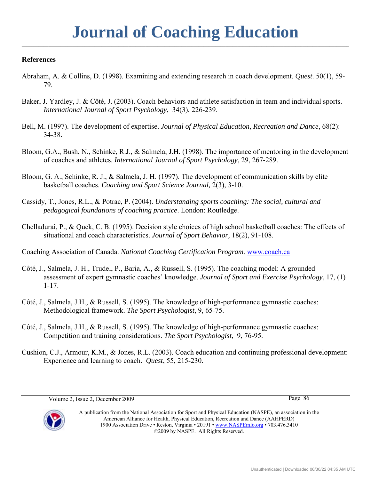#### **References**

- Abraham, A. & Collins, D. (1998). Examining and extending research in coach development. *Quest*. 50(1), 59- 79.
- Baker, J. Yardley, J. & Côté, J. (2003). Coach behaviors and athlete satisfaction in team and individual sports. *International Journal of Sport Psychology*, 34(3), 226-239.
- Bell, M. (1997). The development of expertise. *Journal of Physical Education, Recreation and Dance*, 68(2): 34-38.
- Bloom, G.A., Bush, N., Schinke, R.J., & Salmela, J.H. (1998). The importance of mentoring in the development of coaches and athletes. *International Journal of Sport Psychology*, 29, 267-289.
- Bloom, G. A., Schinke, R. J., & Salmela, J. H. (1997). The development of communication skills by elite basketball coaches. *Coaching and Sport Science Journal,* 2(3), 3-10.
- Cassidy, T., Jones, R.L., & Potrac, P. (2004). *Understanding sports coaching: The social, cultural and pedagogical foundations of coaching practice*. London: Routledge.
- Chelladurai, P., & Quek, C. B. (1995). Decision style choices of high school basketball coaches: The effects of situational and coach characteristics. *Journal of Sport Behavior,* 18(2), 91-108.

Coaching Association of Canada. *National Coaching Certification Program*. [www.coach.ca](http://www.coach.ca/)

- Côté, J., Salmela, J. H., Trudel, P., Baria, A., & Russell, S. (1995). The coaching model: A grounded assessment of expert gymnastic coaches' knowledge. *Journal of Sport and Exercise Psychology*, 17, (1) 1-17.
- Côté, J., Salmela, J.H., & Russell, S. (1995). The knowledge of high-performance gymnastic coaches: Methodological framework. *The Sport Psychologist*, 9, 65-75.
- Côté, J., Salmela, J.H., & Russell, S. (1995). The knowledge of high-performance gymnastic coaches: Competition and training considerations. *The Sport Psychologist*, 9, 76-95.
- Cushion, C.J., Armour, K.M., & Jones, R.L. (2003). Coach education and continuing professional development: Experience and learning to coach. *Quest*, 55, 215-230.

Volume 2, Issue 2, December 2009 Page 86

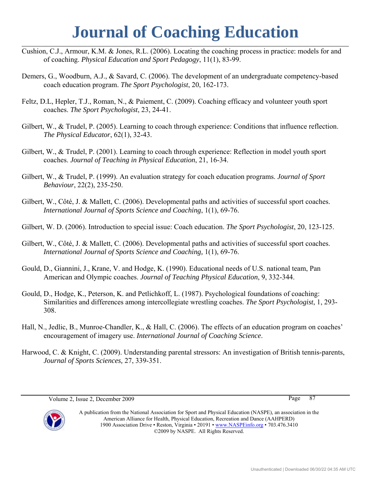**\_\_\_\_\_\_\_\_\_\_\_\_\_\_\_\_\_\_\_\_\_\_\_\_\_\_\_\_\_\_\_\_\_\_\_\_\_\_\_\_\_\_\_\_\_\_\_\_\_\_\_\_\_\_\_\_\_\_\_\_\_\_\_\_\_\_\_\_\_\_\_\_\_\_\_\_\_\_\_\_\_\_\_\_\_\_\_\_\_\_\_\_\_\_\_\_\_\_\_\_\_\_\_\_\_\_\_\_\_\_\_\_\_\_\_\_\_\_\_\_\_\_\_\_\_\_\_\_\_\_\_\_\_\_\_**

- Cushion, C.J., Armour, K.M. & Jones, R.L. (2006). Locating the coaching process in practice: models for and of coaching. *Physical Education and Sport Pedagogy*, 11(1), 83-99.
- Demers, G., Woodburn, A.J., & Savard, C. (2006). The development of an undergraduate competency-based coach education program. *The Sport Psychologist*, 20, 162-173.
- Feltz, D.L, Hepler, T.J., Roman, N., & Paiement, C. (2009). Coaching efficacy and volunteer youth sport coaches. *The Sport Psychologist*, 23, 24-41.
- Gilbert, W., & Trudel, P. (2005). Learning to coach through experience: Conditions that influence reflection. *The Physical Educator*, 62(1), 32-43.
- Gilbert, W., & Trudel, P. (2001). Learning to coach through experience: Reflection in model youth sport coaches. *Journal of Teaching in Physical Education*, 21, 16-34.
- Gilbert, W., & Trudel, P. (1999). An evaluation strategy for coach education programs. *Journal of Sport Behaviour*, 22(2), 235-250.
- Gilbert, W., Côté, J. & Mallett, C. (2006). Developmental paths and activities of successful sport coaches. *International Journal of Sports Science and Coaching*, 1(1), 69-76.
- Gilbert, W. D. (2006). Introduction to special issue: Coach education. *The Sport Psychologist*, 20, 123-125.
- Gilbert, W., Côté, J. & Mallett, C. (2006). Developmental paths and activities of successful sport coaches. *International Journal of Sports Science and Coaching,* 1(1), 69-76.
- Gould, D., Giannini, J., Krane, V. and Hodge, K. (1990). Educational needs of U.S. national team, Pan American and Olympic coaches. *Journal of Teaching Physical Education*, 9, 332-344.
- Gould, D., Hodge, K., Peterson, K. and Petlichkoff, L. (1987). Psychological foundations of coaching: Similarities and differences among intercollegiate wrestling coaches. *The Sport Psychologist*, 1, 293- 308.
- Hall, N., Jedlic, B., Munroe-Chandler, K., & Hall, C. (2006). The effects of an education program on coaches' encouragement of imagery use. *International Journal of Coaching Science*.
- Harwood, C. & Knight, C. (2009). Understanding parental stressors: An investigation of British tennis-parents, *Journal of Sports Sciences,* 27, 339-351.

Volume 2, Issue 2, December 2009 Page 87

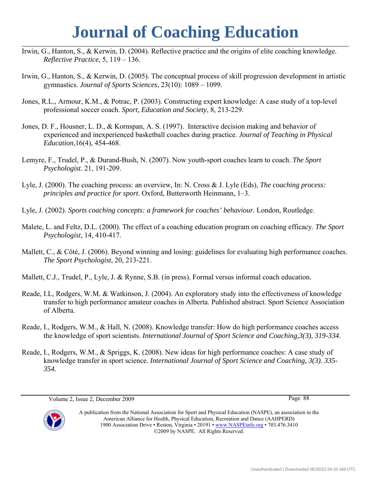**\_\_\_\_\_\_\_\_\_\_\_\_\_\_\_\_\_\_\_\_\_\_\_\_\_\_\_\_\_\_\_\_\_\_\_\_\_\_\_\_\_\_\_\_\_\_\_\_\_\_\_\_\_\_\_\_\_\_\_\_\_\_\_\_\_\_\_\_\_\_\_\_\_\_\_\_\_\_\_\_\_\_\_\_\_\_\_\_\_\_\_\_\_\_\_\_\_\_\_\_\_\_\_\_\_\_\_\_\_\_\_\_\_\_\_\_\_\_\_\_\_\_\_\_\_\_\_\_\_\_\_\_\_\_\_**

- Irwin, G., Hanton, S., & Kerwin, D. (2004). Reflective practice and the origins of elite coaching knowledge. *Reflective Practice*, 5, 119 – 136.
- Irwin, G., Hanton, S., & Kerwin, D. (2005). The conceptual process of skill progression development in artistic gymnastics. *Journal of Sports Sciences*, 23(10): 1089 – 1099.
- Jones, R.L., Armour, K.M., & Potrac, P. (2003). Constructing expert knowledge: A case study of a top-level professional soccer coach. *Sport, Education and Society*, 8, 213-229.
- Jones, D. F., Housner, L. D., & Kornspan, A. S. (1997). Interactive decision making and behavior of experienced and inexperienced basketball coaches during practice. *Journal of Teaching in Physical Education*,16(4), 454-468.
- Lemyre, F., Trudel, P., & Durand-Bush, N. (2007). Now youth-sport coaches learn to coach. *The Sport Psychologist.* 21, 191-209.
- Lyle, J. (2000). The coaching process: an overview, In: N. Cross & J. Lyle (Eds), *The coaching process: principles and practice for sport*. Oxford, Butterworth Heinmann, 1–3.
- Lyle, J. (2002). *Sports coaching concepts: a framework for coaches' behaviour.* London, Routledge.
- Malete, L. and Feltz, D.L. (2000). The effect of a coaching education program on coaching efficacy. *The Sport Psychologist*, 14, 410-417.
- Mallett, C., & Côté, J. (2006). Beyond winning and losing: guidelines for evaluating high performance coaches. *The Sport Psychologist*, 20, 213-221.
- Mallett, C.J., Trudel, P., Lyle, J. & Rynne, S.B. (in press). Formal versus informal coach education.
- Reade, I.L, Rodgers, W.M. & Watkinson, J. (2004). An exploratory study into the effectiveness of knowledge transfer to high performance amateur coaches in Alberta. Published abstract. Sport Science Association of Alberta.
- Reade, I., Rodgers, W.M., & Hall, N. (2008). Knowledge transfer: How do high performance coaches access the knowledge of sport scientists. *International Journal of Sport Science and Coaching,3(3), 319-334.*
- Reade, I., Rodgers, W.M., & Spriggs, K. (2008). New ideas for high performance coaches: A case study of knowledge transfer in sport science. *International Journal of Sport Science and Coaching, 3(3). 335- 354.*

Volume 2, Issue 2, December 2009 Page 88



A publication from the National Association for Sport and Physical Education (NASPE), an association in the American Alliance for Health, Physical Education, Recreation and Dance (AAHPERD) 1900 Association Drive • Reston, Virginia • 20191 • www.NASPEinfo.org • 703.476.3410 ©2009 by NASPE. All Rights Reserved.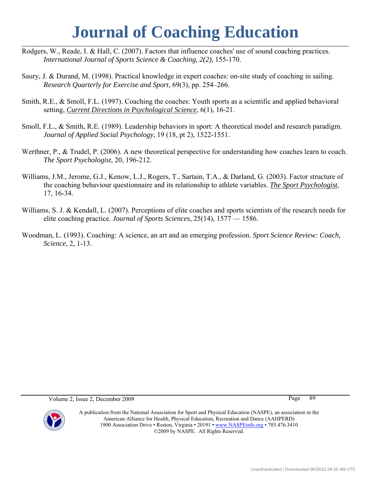**\_\_\_\_\_\_\_\_\_\_\_\_\_\_\_\_\_\_\_\_\_\_\_\_\_\_\_\_\_\_\_\_\_\_\_\_\_\_\_\_\_\_\_\_\_\_\_\_\_\_\_\_\_\_\_\_\_\_\_\_\_\_\_\_\_\_\_\_\_\_\_\_\_\_\_\_\_\_\_\_\_\_\_\_\_\_\_\_\_\_\_\_\_\_\_\_\_\_\_\_\_\_\_\_\_\_\_\_\_\_\_\_\_\_\_\_\_\_\_\_\_\_\_\_\_\_\_\_\_\_\_\_\_\_\_**

- Rodgers, W., Reade, I. & Hall, C. (2007). Factors that influence coaches' use of sound coaching practices. *International Journal of Sports Science & Coaching, 2(2),* 155-170.
- Saury, J. & Durand, M. (1998). Practical knowledge in expert coaches: on-site study of coaching in sailing. *Research Quarterly for Exercise and Sport*, 69(3), pp. 254–266.
- Smith, R.E., & Smoll, F.L. (1997). Coaching the coaches: Youth sports as a scientific and applied behavioral setting, *Current Directions in Psychological Science*, 6(1), 16-21.
- Smoll, F.L., & Smith, R.E. (1989). Leadership behaviors in sport: A theoretical model and research paradigm. *Journal of Applied Social Psychology*, 19 (18, pt 2), 1522-1551.
- Werthner, P., & Trudel, P. (2006). A new theoretical perspective for understanding how coaches learn to coach. *The Sport Psychologist*, 20, 196-212.
- Williams, J.M., Jerome, G.J., Kenow, L.J., Rogers, T., Sartain, T.A., & Darland, G. (2003). Factor structure of the coaching behaviour questionnaire and its relationship to athlete variables. *The Sport Psychologist*, 17, 16-34.
- Williams, S. J. & Kendall, L. (2007). Perceptions of elite coaches and sports scientists of the research needs for elite coaching practice. *Journal of Sports Sciences*, 25(14), 1577 — 1586.
- Woodman, L. (1993). Coaching: A science, an art and an emerging profession. *Sport Science Review: Coach, Science*, 2, 1-13.

Volume 2, Issue 2, December 2009 Page 89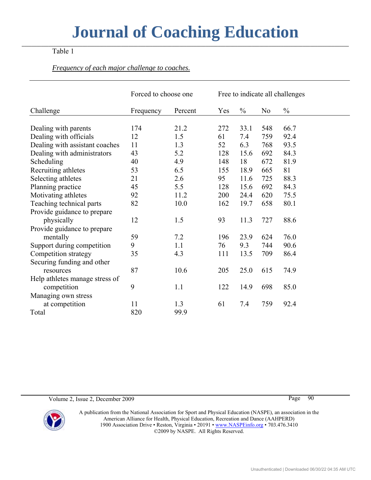**\_\_\_\_\_\_\_\_\_\_\_\_\_\_\_\_\_\_\_\_\_\_\_\_\_\_\_\_\_\_\_\_\_\_\_\_\_\_\_\_\_\_\_\_\_\_\_\_\_\_\_\_\_\_\_\_\_\_\_\_\_\_\_\_\_\_\_\_\_\_\_\_\_\_\_\_\_\_\_\_\_\_\_\_\_\_\_\_\_\_\_\_\_\_\_\_\_\_\_\_\_\_\_\_\_\_\_\_\_\_\_\_\_\_\_\_\_\_\_\_\_\_\_\_\_\_\_\_\_\_\_\_\_\_\_**

#### Table 1

#### *Frequency of each major challenge to coaches.*

|                                | Forced to choose one |         |     | Free to indicate all challenges |                |               |  |  |
|--------------------------------|----------------------|---------|-----|---------------------------------|----------------|---------------|--|--|
| Challenge                      | Frequency            | Percent | Yes | $\frac{0}{0}$                   | N <sub>0</sub> | $\frac{0}{0}$ |  |  |
|                                |                      |         |     |                                 |                |               |  |  |
| Dealing with parents           | 174                  | 21.2    | 272 | 33.1                            | 548            | 66.7          |  |  |
| Dealing with officials         | 12                   | 1.5     | 61  | 7.4                             | 759            | 92.4          |  |  |
| Dealing with assistant coaches | 11                   | 1.3     | 52  | 6.3                             | 768            | 93.5          |  |  |
| Dealing with administrators    | 43                   | 5.2     | 128 | 15.6                            | 692            | 84.3          |  |  |
| Scheduling                     | 40                   | 4.9     | 148 | 18                              | 672            | 81.9          |  |  |
| Recruiting athletes            | 53                   | 6.5     | 155 | 18.9                            | 665            | 81            |  |  |
| Selecting athletes             | 21                   | 2.6     | 95  | 11.6                            | 725            | 88.3          |  |  |
| Planning practice              | 45                   | 5.5     | 128 | 15.6                            | 692            | 84.3          |  |  |
| Motivating athletes            | 92                   | 11.2    | 200 | 24.4                            | 620            | 75.5          |  |  |
| Teaching technical parts       | 82                   | 10.0    | 162 | 19.7                            | 658            | 80.1          |  |  |
| Provide guidance to prepare    |                      |         |     |                                 |                |               |  |  |
| physically                     | 12                   | 1.5     | 93  | 11.3                            | 727            | 88.6          |  |  |
| Provide guidance to prepare    |                      |         |     |                                 |                |               |  |  |
| mentally                       | 59                   | 7.2     | 196 | 23.9                            | 624            | 76.0          |  |  |
| Support during competition     | 9                    | 1.1     | 76  | 9.3                             | 744            | 90.6          |  |  |
| Competition strategy           | 35                   | 4.3     | 111 | 13.5                            | 709            | 86.4          |  |  |
| Securing funding and other     |                      |         |     |                                 |                |               |  |  |
| resources                      | 87                   | 10.6    | 205 | 25.0                            | 615            | 74.9          |  |  |
| Help athletes manage stress of |                      |         |     |                                 |                |               |  |  |
| competition                    | 9                    | 1.1     | 122 | 14.9                            | 698            | 85.0          |  |  |
| Managing own stress            |                      |         |     |                                 |                |               |  |  |
| at competition                 | 11                   | 1.3     | 61  | 7.4                             | 759            | 92.4          |  |  |
| Total                          | 820                  | 99.9    |     |                                 |                |               |  |  |

Volume 2, Issue 2, December 2009 Page 90

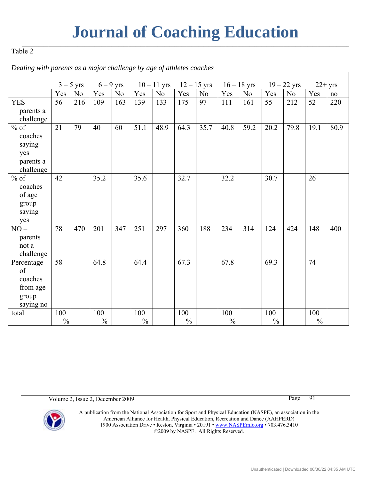**\_\_\_\_\_\_\_\_\_\_\_\_\_\_\_\_\_\_\_\_\_\_\_\_\_\_\_\_\_\_\_\_\_\_\_\_\_\_\_\_\_\_\_\_\_\_\_\_\_\_\_\_\_\_\_\_\_\_\_\_\_\_\_\_\_\_\_\_\_\_\_\_\_\_\_\_\_\_\_\_\_\_\_\_\_\_\_\_\_\_\_\_\_\_\_\_\_\_\_\_\_\_\_\_\_\_\_\_\_\_\_\_\_\_\_\_\_\_\_\_\_\_\_\_\_\_\_\_\_\_\_\_\_\_\_**

#### Table 2

*Dealing with parents as a major challenge by age of athletes coaches* 

|               |               | $3 - 5$ yrs |               | $6 - 9$ yrs |               | $10 - 11$ yrs | $12 - 15$ yrs |                | $16 - 18$ yrs |                |               | $19 - 22$ yrs  | $22+ yrs$     |      |
|---------------|---------------|-------------|---------------|-------------|---------------|---------------|---------------|----------------|---------------|----------------|---------------|----------------|---------------|------|
|               | Yes           | No          | Yes           | No          | Yes           | No            | Yes           | N <sub>o</sub> | Yes           | N <sub>0</sub> | Yes           | N <sub>o</sub> | Yes           | no   |
| $YES -$       | 56            | 216         | 109           | 163         | 139           | 133           | 175           | 97             | 111           | 161            | 55            | 212            | 52            | 220  |
| parents a     |               |             |               |             |               |               |               |                |               |                |               |                |               |      |
| challenge     |               |             |               |             |               |               |               |                |               |                |               |                |               |      |
| $%$ of        | 21            | 79          | 40            | 60          | 51.1          | 48.9          | 64.3          | 35.7           | 40.8          | 59.2           | 20.2          | 79.8           | 19.1          | 80.9 |
| coaches       |               |             |               |             |               |               |               |                |               |                |               |                |               |      |
| saying        |               |             |               |             |               |               |               |                |               |                |               |                |               |      |
| yes           |               |             |               |             |               |               |               |                |               |                |               |                |               |      |
| parents a     |               |             |               |             |               |               |               |                |               |                |               |                |               |      |
| challenge     |               |             |               |             |               |               |               |                |               |                |               |                |               |      |
| $%$ of        | 42            |             | 35.2          |             | 35.6          |               | 32.7          |                | 32.2          |                | 30.7          |                | 26            |      |
| coaches       |               |             |               |             |               |               |               |                |               |                |               |                |               |      |
| of age        |               |             |               |             |               |               |               |                |               |                |               |                |               |      |
| group         |               |             |               |             |               |               |               |                |               |                |               |                |               |      |
| saying        |               |             |               |             |               |               |               |                |               |                |               |                |               |      |
| yes<br>$NO -$ | 78            | 470         | 201           | 347         | 251           | 297           | 360           | 188            | 234           | 314            | 124           | 424            | 148           | 400  |
| parents       |               |             |               |             |               |               |               |                |               |                |               |                |               |      |
| not a         |               |             |               |             |               |               |               |                |               |                |               |                |               |      |
| challenge     |               |             |               |             |               |               |               |                |               |                |               |                |               |      |
| Percentage    | 58            |             | 64.8          |             | 64.4          |               | 67.3          |                | 67.8          |                | 69.3          |                | 74            |      |
| of            |               |             |               |             |               |               |               |                |               |                |               |                |               |      |
| coaches       |               |             |               |             |               |               |               |                |               |                |               |                |               |      |
| from age      |               |             |               |             |               |               |               |                |               |                |               |                |               |      |
| group         |               |             |               |             |               |               |               |                |               |                |               |                |               |      |
| saying no     |               |             |               |             |               |               |               |                |               |                |               |                |               |      |
| total         | 100           |             | 100           |             | 100           |               | 100           |                | 100           |                | 100           |                | 100           |      |
|               | $\frac{0}{0}$ |             | $\frac{0}{0}$ |             | $\frac{0}{0}$ |               | $\frac{0}{0}$ |                | $\frac{0}{0}$ |                | $\frac{0}{0}$ |                | $\frac{0}{0}$ |      |

Volume 2, Issue 2, December 2009 Page 91

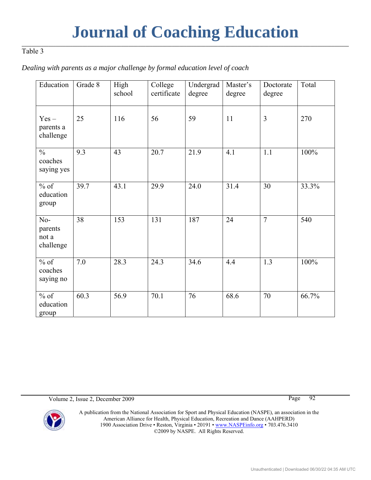**\_\_\_\_\_\_\_\_\_\_\_\_\_\_\_\_\_\_\_\_\_\_\_\_\_\_\_\_\_\_\_\_\_\_\_\_\_\_\_\_\_\_\_\_\_\_\_\_\_\_\_\_\_\_\_\_\_\_\_\_\_\_\_\_\_\_\_\_\_\_\_\_\_\_\_\_\_\_\_\_\_\_\_\_\_\_\_\_\_\_\_\_\_\_\_\_\_\_\_\_\_\_\_\_\_\_\_\_\_\_\_\_\_\_\_\_\_\_\_\_\_\_\_\_\_\_\_\_\_\_\_\_\_\_\_**

### Table 3

#### *Dealing with parents as a major challenge by formal education level of coach*

| Education                              | Grade 8 | High<br>school | College<br>certificate | Undergrad<br>degree | Master's<br>degree | Doctorate<br>degree | Total |
|----------------------------------------|---------|----------------|------------------------|---------------------|--------------------|---------------------|-------|
| $Yes -$<br>parents a<br>challenge      | 25      | 116            | 56                     | 59                  | 11                 | 3                   | 270   |
| $\frac{0}{0}$<br>coaches<br>saying yes | 9.3     | 43             | 20.7                   | 21.9                | 4.1                | 1.1                 | 100%  |
| $%$ of<br>education<br>group           | 39.7    | 43.1           | 29.9                   | 24.0                | 31.4               | 30                  | 33.3% |
| $No-$<br>parents<br>not a<br>challenge | 38      | 153            | 131                    | 187                 | 24                 | $\overline{7}$      | 540   |
| $%$ of<br>coaches<br>saying no         | 7.0     | 28.3           | 24.3                   | 34.6                | 4.4                | 1.3                 | 100%  |
| $%$ of<br>education<br>group           | 60.3    | 56.9           | 70.1                   | 76                  | 68.6               | 70                  | 66.7% |

Volume 2, Issue 2, December 2009 Page 92

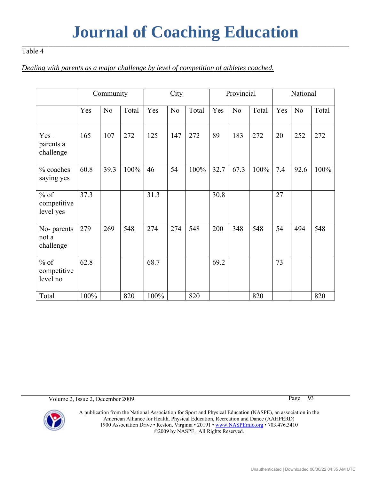#### Table 4

#### *Dealing with parents as a major challenge by level of competition of athletes coached.*

|                                    | Community |                | City  |      |                | Provincial |      |                | <b>National</b> |     |                |       |
|------------------------------------|-----------|----------------|-------|------|----------------|------------|------|----------------|-----------------|-----|----------------|-------|
|                                    | Yes       | N <sub>o</sub> | Total | Yes  | N <sub>o</sub> | Total      | Yes  | N <sub>o</sub> | Total           | Yes | N <sub>o</sub> | Total |
| $Yes -$<br>parents a<br>challenge  | 165       | 107            | 272   | 125  | 147            | 272        | 89   | 183            | 272             | 20  | 252            | 272   |
| % coaches<br>saying yes            | 60.8      | 39.3           | 100%  | 46   | 54             | 100%       | 32.7 | 67.3           | 100%            | 7.4 | 92.6           | 100%  |
| $%$ of<br>competitive<br>level yes | 37.3      |                |       | 31.3 |                |            | 30.8 |                |                 | 27  |                |       |
| No- parents<br>not a<br>challenge  | 279       | 269            | 548   | 274  | 274            | 548        | 200  | 348            | 548             | 54  | 494            | 548   |
| $%$ of<br>competitive<br>level no  | 62.8      |                |       | 68.7 |                |            | 69.2 |                |                 | 73  |                |       |
| Total                              | 100%      |                | 820   | 100% |                | 820        |      |                | 820             |     |                | 820   |

Volume 2, Issue 2, December 2009 Page 93

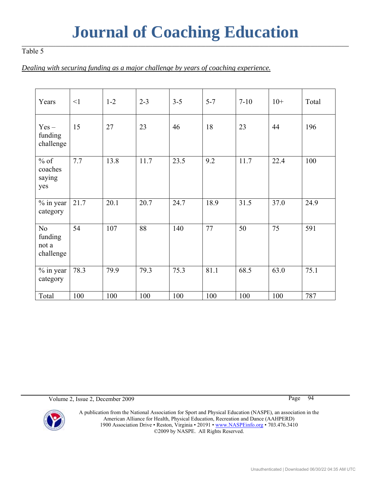**\_\_\_\_\_\_\_\_\_\_\_\_\_\_\_\_\_\_\_\_\_\_\_\_\_\_\_\_\_\_\_\_\_\_\_\_\_\_\_\_\_\_\_\_\_\_\_\_\_\_\_\_\_\_\_\_\_\_\_\_\_\_\_\_\_\_\_\_\_\_\_\_\_\_\_\_\_\_\_\_\_\_\_\_\_\_\_\_\_\_\_\_\_\_\_\_\_\_\_\_\_\_\_\_\_\_\_\_\_\_\_\_\_\_\_\_\_\_\_\_\_\_\_\_\_\_\_\_\_\_\_\_\_\_\_**

#### Table 5

#### *Dealing with securing funding as a major challenge by years of coaching experience.*

| Years                                           | $\leq$ 1 | $1 - 2$ | $2 - 3$ | $3 - 5$ | $5 - 7$ | $7 - 10$ | $10+$ | Total |
|-------------------------------------------------|----------|---------|---------|---------|---------|----------|-------|-------|
| $Yes -$<br>funding<br>challenge                 | 15       | 27      | 23      | 46      | 18      | 23       | 44    | 196   |
| $%$ of<br>coaches<br>saying<br>yes              | 7.7      | 13.8    | 11.7    | 23.5    | 9.2     | 11.7     | 22.4  | 100   |
| % in year<br>category                           | 21.7     | 20.1    | 20.7    | 24.7    | 18.9    | 31.5     | 37.0  | 24.9  |
| N <sub>0</sub><br>funding<br>not a<br>challenge | 54       | 107     | 88      | 140     | 77      | 50       | 75    | 591   |
| % in year<br>category                           | 78.3     | 79.9    | 79.3    | 75.3    | 81.1    | 68.5     | 63.0  | 75.1  |
| Total                                           | 100      | 100     | 100     | 100     | 100     | 100      | 100   | 787   |

Volume 2, Issue 2, December 2009 Page 94

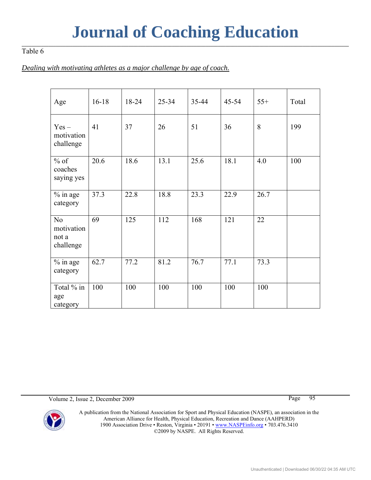**\_\_\_\_\_\_\_\_\_\_\_\_\_\_\_\_\_\_\_\_\_\_\_\_\_\_\_\_\_\_\_\_\_\_\_\_\_\_\_\_\_\_\_\_\_\_\_\_\_\_\_\_\_\_\_\_\_\_\_\_\_\_\_\_\_\_\_\_\_\_\_\_\_\_\_\_\_\_\_\_\_\_\_\_\_\_\_\_\_\_\_\_\_\_\_\_\_\_\_\_\_\_\_\_\_\_\_\_\_\_\_\_\_\_\_\_\_\_\_\_\_\_\_\_\_\_\_\_\_\_\_\_\_\_\_**

#### Table 6

#### *Dealing with motivating athletes as a major challenge by age of coach.*

| Age                                    | $16-18$ | 18-24 | 25-34 | 35-44 | 45-54 | $55+$ | Total |
|----------------------------------------|---------|-------|-------|-------|-------|-------|-------|
| $Yes -$<br>motivation<br>challenge     | 41      | 37    | 26    | 51    | 36    | 8     | 199   |
| $%$ of<br>coaches<br>saying yes        | 20.6    | 18.6  | 13.1  | 25.6  | 18.1  | 4.0   | 100   |
| $%$ in age<br>category                 | 37.3    | 22.8  | 18.8  | 23.3  | 22.9  | 26.7  |       |
| No<br>motivation<br>not a<br>challenge | 69      | 125   | 112   | 168   | 121   | 22    |       |
| $%$ in age<br>category                 | 62.7    | 77.2  | 81.2  | 76.7  | 77.1  | 73.3  |       |
| Total % in<br>age<br>category          | 100     | 100   | 100   | 100   | 100   | 100   |       |

Volume 2, Issue 2, December 2009 Page 95